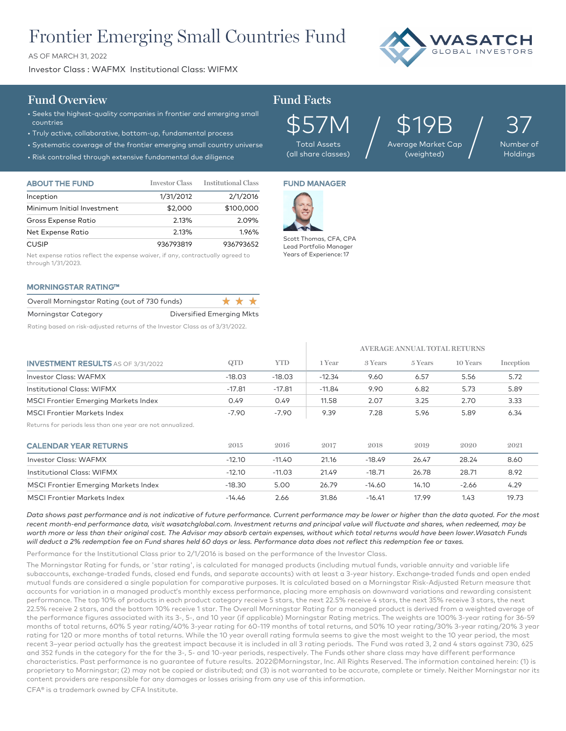# Frontier Emerging Small Countries Fund

AS OF MARCH 31, 2022

Investor Class : WAFMX Institutional Class: WIFMX



### **Fund Overview Fund Facts**

## • Seeks the highest-quality companies in frontier and emerging small

- countries
- Truly active, collaborative, bottom-up, fundamental process
- Systematic coverage of the frontier emerging small country universe
- Risk controlled through extensive fundamental due diligence

| <b>Total Assets</b> |
|---------------------|

\$19B Average Market Cap (weighted) /

37 Number of

Holdings

| <b>ABOUT THE FUND</b>      | <b>Investor Class</b> | <b>Institutional Class</b> |
|----------------------------|-----------------------|----------------------------|
| Inception                  | 1/31/2012             | 2/1/2016                   |
| Minimum Initial Investment | \$2,000               | \$100,000                  |
| Gross Expense Ratio        | 2.13%                 | 2.09%                      |
| Net Expense Ratio          | 2.13%                 | 1.96%                      |
| <b>CUSIP</b>               | 936793819             | 936793652                  |

Net expense ratios reflect the expense waiver, if any, contractually agreed to through 1/31/2023.

#### MORNINGSTAR RATING™

| Overall Morningstar Rating (out of 730 funds) |                                  | * * * * |  |
|-----------------------------------------------|----------------------------------|---------|--|
| Morningstar Category                          | <b>Diversified Emerging Mkts</b> |         |  |

Rating based on risk-adjusted returns of the Investor Class as of 3/31/2022.

### FUND MANAGER

(all share classes)



Scott Thomas, CFA, CPA Lead Portfolio Manager Years of Experience: 17

|                                                            |          |            | AVERAGE ANNUAL TOTAL RETURNS |          |         |          |           |
|------------------------------------------------------------|----------|------------|------------------------------|----------|---------|----------|-----------|
| <b>INVESTMENT RESULTS</b> AS OF 3/31/2022                  | QTD      | <b>YTD</b> | 1 Year                       | 3 Years  | 5 Years | 10 Years | Inception |
| Investor Class: WAFMX                                      | $-18.03$ | $-18.03$   | $-12.34$                     | 9.60     | 6.57    | 5.56     | 5.72      |
| Institutional Class: WIFMX                                 | $-17.81$ | $-17.81$   | $-11.84$                     | 9.90     | 6.82    | 5.73     | 5.89      |
| <b>MSCI Frontier Emerging Markets Index</b>                | 0.49     | 0.49       | 11.58                        | 2.07     | 3.25    | 2.70     | 3.33      |
| <b>MSCI Frontier Markets Index</b>                         | $-7.90$  | $-7.90$    | 9.39                         | 7.28     | 5.96    | 5.89     | 6.34      |
| Returns for periods less than one year are not annualized. |          |            |                              |          |         |          |           |
| <b>CALENDAR YEAR RETURNS</b>                               | 2015     | 2016       | 2017                         | 2018     | 2019    | 2020     | 2021      |
| <b>Investor Class: WAFMX</b>                               | $-12.10$ | $-11.40$   | 21.16                        | $-18.49$ | 26.47   | 28.24    | 8.60      |
| Institutional Class: WIFMX                                 | $-12.10$ | $-11.03$   | 21.49                        | $-18.71$ | 26.78   | 28.71    | 8.92      |
| <b>MSCI Frontier Emerging Markets Index</b>                | $-18.30$ | 5.00       | 26.79                        | $-14.60$ | 14.10   | $-2.66$  | 4.29      |
| <b>MSCI Frontier Markets Index</b>                         | $-14.46$ | 2.66       | 31.86                        | $-16.41$ | 17.99   | 1.43     | 19.73     |

*Data shows past performance and is not indicative of future performance. Current performance may be lower or higher than the data quoted. For the most*  recent month-end performance data, visit wasatchglobal.com. Investment returns and principal value will fluctuate and shares, when redeemed, may be *worth more or less than their original cost. The Advisor may absorb certain expenses, without which total returns would have been lower.Wasatch Funds will deduct a 2% redemption fee on Fund shares held 60 days or less. Performance data does not reflect this redemption fee or taxes.*

Performance for the Institutional Class prior to 2/1/2016 is based on the performance of the Investor Class.

The Morningstar Rating for funds, or 'star rating', is calculated for managed products (including mutual funds, variable annuity and variable life subaccounts, exchange-traded funds, closed end funds, and separate accounts) with at least a 3-year history. Exchange–traded funds and open ended mutual funds are considered a single population for comparative purposes. It is calculated based on a Morningstar Risk-Adjusted Return measure that accounts for variation in a managed product's monthly excess performance, placing more emphasis on downward variations and rewarding consistent performance. The top 10% of products in each product category receive 5 stars, the next 22.5% receive 4 stars, the next 35% receive 3 stars, the next 22.5% receive 2 stars, and the bottom 10% receive 1 star. The Overall Morningstar Rating for a managed product is derived from a weighted average of the performance figures associated with its 3-, 5-, and 10 year (if applicable) Morningstar Rating metrics. The weights are 100% 3-year rating for 36-59 months of total returns, 60% 5 year rating/40% 3-year rating for 60-119 months of total returns, and 50% 10 year rating/30% 3-year rating/20% 3 year rating for 120 or more months of total returns. While the 10 year overall rating formula seems to give the most weight to the 10 year period, the most recent 3–year period actually has the greatest impact because it is included in all 3 rating periods. The Fund was rated 3, 2 and 4 stars against 730, 625 and 352 funds in the category for the for the 3-, 5- and 10-year periods, respectively. The Funds other share class may have different performance characteristics. Past performance is no guarantee of future results. 2022©Morningstar, Inc. All Rights Reserved. The information contained herein: (1) is proprietary to Morningstar; (2) may not be copied or distributed; and (3) is not warranted to be accurate, complete or timely. Neither Morningstar nor its content providers are responsible for any damages or losses arising from any use of this information.

CFA® is a trademark owned by CFA Institute.